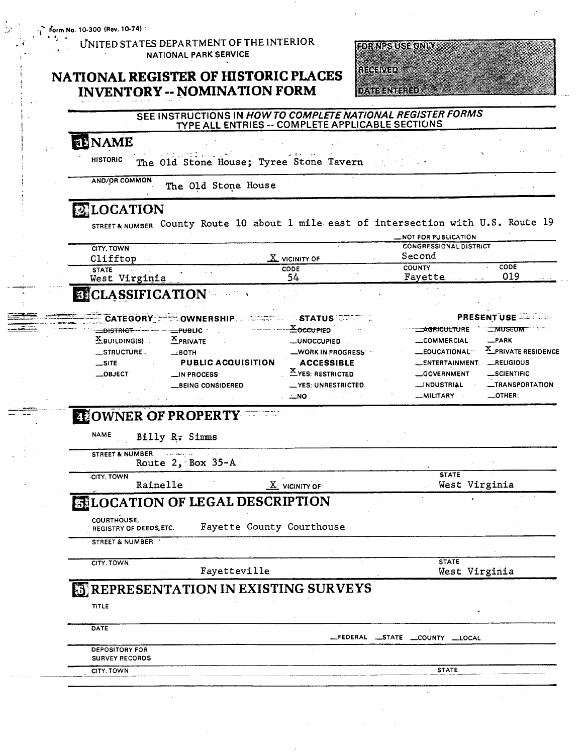$F$ orm No. 10-300 (Rev. 10-74)

 $\mathcal{F}_\mathbf{z}$  .

### UNITED STATES DEPARTMENT OF THE INTERIOR NATIONAL PARK SERVICE

## NATIONAL REGISTER OF HISTORIC PLACES **INVENTORY -- NOMINATION FORM**



#### SEE INSTRUCTIONS IN HOW TO COMPLETE NATIONAL REGISTER FORMS TYPE ALL ENTRIES -- COMPLETE APPLICABLE SECTIONS

# ENAME

**HISTORIC** The Old Stone House; Tyree Stone Tavern

**AND/OR COMMON** The Old Stone House

## **LOCATION**

STREET& NUMBER County Route 10 about 1 mile east of intersection with U.S. Route 19

|                                                   |                             | _NOT FOR PUBLICATION                    |
|---------------------------------------------------|-----------------------------|-----------------------------------------|
| <b>CITY, TOWN</b><br>Clifftop                     | $\underline{X}$ vicinity of | <b>CONGRESSIONAL DISTRICT</b><br>Second |
| <b>STATE</b><br>$\sim$ $\sim$<br>Virginia<br>West | CODE<br>4د                  | CODE<br><b>COUNTY</b><br>019<br>Favette |
|                                                   |                             |                                         |

### **BICLASSIFICATION**

|                  | CATEGORY COWNERSHIP STATUS CATEGORY                                                                                                                                                                                                  |                         |                      | <b>PRESENTUSE</b>       |
|------------------|--------------------------------------------------------------------------------------------------------------------------------------------------------------------------------------------------------------------------------------|-------------------------|----------------------|-------------------------|
|                  | <b>EXAMPLE 2006 THE STATE OF THE SECTION OF THE SECTION OF THE SECTION OF THE SECTION OF THE SECTION OF THE SECTION OF THE SECTION OF THE SECTION OF THE SECTION OF THE SECTION OF THE SECTION OF THE SECTION OF THE SECTION OF </b> |                         | <b>AGRICULTURE</b>   | <b>MUSEUM</b>           |
| $X$ BUILDING(S)  | $X$ PRIVATE                                                                                                                                                                                                                          | _UNOCCUPIED             | <b>COMMERCIAL</b>    | _PARK                   |
| <b>STRUCTURE</b> | $\equiv$ BOTH                                                                                                                                                                                                                        | -WORK IN PROGRESS       | <b>_EDUCATIONAL</b>  | X_PRIVATE RESIDENCE     |
| $\equiv$ SITE    | <b>PUBLIC ACQUISITION</b>                                                                                                                                                                                                            | <b>ACCESSIBLE</b>       | <b>ENTERTAINMENT</b> | RELIGIOUS               |
| $\equiv$ OBJECT  | $\equiv$ IN PROCESS                                                                                                                                                                                                                  | <b>EYES: RESTRICTED</b> | GOVERNMENT           | _SCIENTIFIC             |
|                  | <b>BEING CONSIDERED</b>                                                                                                                                                                                                              | -YES: UNRESTRICTED      | <b>__INDUSTRIAL</b>  | <b>__TRANSPORTATION</b> |
|                  |                                                                                                                                                                                                                                      | ∠NO                     | -MILITARY            | $\equiv$ OTHER:         |

# **EFOWNER OF PROPERTY**

**NAME** Billy R. Simms

STREET & NUMBER بالتفقف بلايا Route  $2,$  Box 35-A

CITY, TOWN

Rainelle

 $\underline{X}$  vicinity of

**STATE** West Virginia

# **ELOCATION OF LEGAL DESCRIPTION**

COURTHOUSE.

Fayette County Courthouse REGISTRY OF DEEDS, ETC.

STREET & NUMBER

CITY, TOWN

Fayetteville

**STATE** West Virginia

# **SEPRESENTATION IN EXISTING SURVEYS**

TITLE

| DATE                  |                                |
|-----------------------|--------------------------------|
|                       | _FEDERAL _STATE _COUNTY _LOCAL |
| <b>DEPOSITORY FOR</b> |                                |
| <b>SURVEY RECORDS</b> |                                |
| CITY, TOWN            | <b>STATE</b>                   |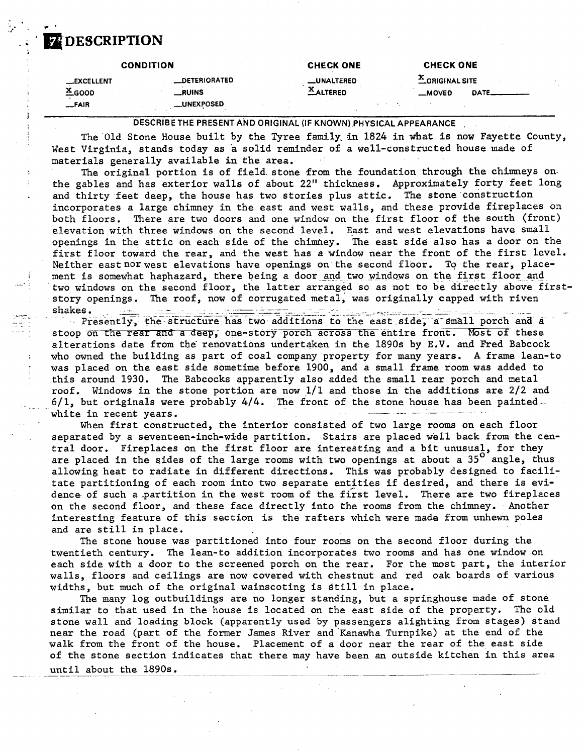# **FEDESCRIPTION**

|                    | <b>CONDITION</b>     | <b>CHECK ONE</b>   | <b>CHECK ONE</b>          |  |
|--------------------|----------------------|--------------------|---------------------------|--|
| <b>__EXCELLENT</b> | <b>LDETERIORATED</b> | <b>__UNALTERED</b> | <b>LORIGINAL SITE</b>     |  |
| $*$ 6000           | <b>_RUINS</b>        | ALTERED            | <b>DATE__</b><br>$-MOVED$ |  |
| $F = F \cup F$     | <b>LUNEXPOSED</b>    |                    |                           |  |

**DESCRIBE THE PRESENT AND ORIGINAL (IF KNOWN).PHYSICAL APPEARANCE** .

The Old Stone House built by the Tyree family,in 1824 in what is now Fayette County, West Virginia, stands today as 'a solid reminder of a well-constructed house made of materials generally available in the area.

The original portion is of field stone from the foundation through the chimneys onthe gables and has exterior walls of about 22" thickness. Approximately forty feet long and thirty feet deep, the house has two stories plus attic. The stone construction incorporates a large chimney in the east and west walls, and these provide fireplaces on both floors. There are two doors and one window on the first floor of the south (front) elevation with three windows on the second level. East and west elevations have small openings in the attic on each side of the chimney. The east side also has a door on the first floor toward the rear, and the west has a window near the front of the first level. Neither east nor west elevations have openings on the second floor. To the rear, placement is somewhat haphazard, there being a door and two windows on the first floor and two windows on the second floor, the latter arranged so as not to be directly above firststory openings. The roof, now of corrugated metal, was originally capped with riven Neither east nor west elevations have openings on the second floor. To the rear, place-<br>ment is somewhat haphazard, there being a door and two windows on the first floor and<br>two windows on the second floor, the latter arra

stoop on the rear and a deep, one-story porch across the entire front. Most of these alterations date from the renovations undertaken in the  $1890s$  by E.V. and Fred Babcock who owned the building as part of coal company property for many years. A frame lean-to was placed on the east side sometime before 1900, and a small frame room was added to this around 1930. The Babcocks apparently also added the small rear porch and metal roof. Windows in the stone portion are now  $1/1$  and those in the additions are  $2/2$  and  $6/1$ , but originals were probably  $4/4$ . The front of the stone house has been painted this around 1930. The Babcocks apparently also added the small rear porch roof. Windows in the stone portion are now  $1/1$  and those in the additions  $6/1$ , but originals were probably  $4/4$ . The front of the stone house

When first constructed, the interior consisted of two large rooms on each floor separated by a seventeen-inch-wide partition. Stairs are placed well back from the central door. Fireplaces on the first floor are interesting and a bit unusual, for they are placed in the sides of the large rooms with two openings at about a  $35^{\circ}$  angle, thus allowing heat to radiate in different directions. This was probably designed to facilitate partitioning of each room into two separate entities if desired, and there is evidence of such a partition in the west room of the first level. There are two fireplaces on the second floor, and these face directly into the rooms from the chimney. Another interesting feature of this section is the rafters which were made from unhewn poles and are still in place.

The stone house was partitioned into four rooms on the second floor during the twentieth century. The lean-to addition incorporates two rooms and has one window on each side with a door to the screened porch on the rear. For the most part, the interior walls, floors and ceilings are now covered with chestnut and red oak boards of various widths, but much of the original wainscoting is Still in place.

The many log outbuildings are no longer standing, but a springhouse made of stone similar to that used in the house is located on the east side of the property. The old stone wall and loading block (apparently used by passengers alighting from stages) stand near the road (part of the former James River and Kanawha Turnpike) at the end of the walk from the front of the house. Placement of a door near the rear of the east side waik from the front of the house. Placement of a door near the rear of the east side<br>of the stone section indicates that there may have been an outside kitchen in this area<br>until about the 1890s.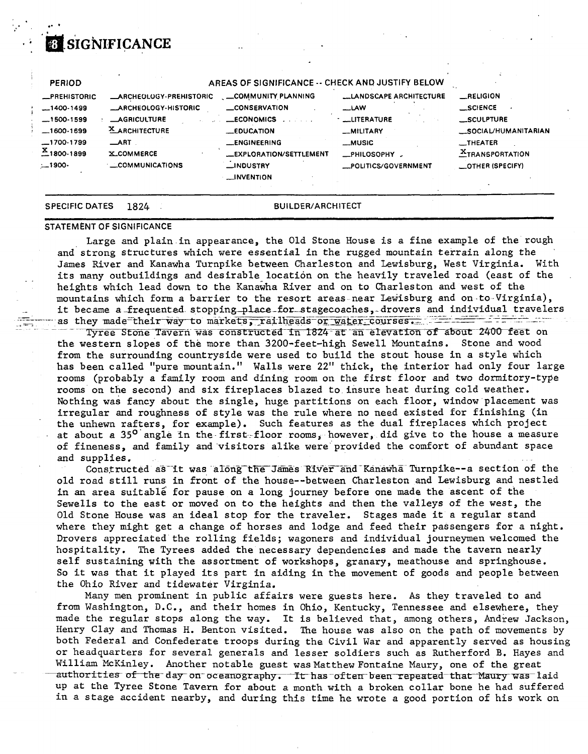# **8 SIGNIFICANCE**

| <b>PERIOD</b>                  |                               | AREAS OF SIGNIFICANCE -- CHECK AND JUSTIFY BELOW |                                |                                  |
|--------------------------------|-------------------------------|--------------------------------------------------|--------------------------------|----------------------------------|
| <b>_PREHISTORIC</b>            | <b>ARCHEOLOGY-PREHISTORIC</b> | COMMUNITY PLANNING                               | <b>LLANDSCAPE ARCHITECTURE</b> | <b>__RELIGION</b>                |
| $-1400-1499$                   | <b>_ARCHEOLOGY-HISTORIC</b>   | <b>CONSERVATION</b>                              | $-LAW$                         | <b>SCIENCE</b>                   |
| $-1500-1599$                   | <b>AGRICULTURE</b>            | <b>ECONOMICS</b>                                 | <b>LUTERATURE</b>              | SCULPTURE                        |
| $-1600-1699$                   | <b>X_ARCHITECTURE</b>         | <b>EDUCATION</b>                                 | <b>MILITARY</b>                | _SOCIAL/HUMANITARIAN             |
| $-1700-1799$                   | $\_$ ART                      | <b>LENGINEERING</b>                              | <b>_MUSIC</b>                  | $\overline{\phantom{0}}$ THEATER |
| $\frac{\text{x}}{2}$ 1800-1899 | <b>X_COMMERCE</b>             | <b>LEXPLORATION/SETTLEMENT</b>                   | _PHILOSOPHY                    | <b>ETRANSPORTATION</b>           |
| $-1900-$                       | <b>COMMUNICATIONS</b>         | <b>LINDUSTRY</b>                                 | POLITICS/GOVERNMENT            | <b>COTHER (SPECIFY)</b>          |
|                                |                               | <b>LINVENTION</b>                                |                                |                                  |
|                                |                               |                                                  |                                |                                  |

#### **SPECIFIC DATES** 1824

#### **BUILDER/ARCHITECT**

#### **STATEMENT OF SIGNIFICANCE**

Large and plain in appearance, the Old Stone House is a fine example of the rough and strong structures which were essential in the rugged mountain terrain along the James River and Kanawha Turnpike between Charleston and Lewisburg, West Virginia. With its many outbuildings and desirable location on the heavily traveled road (east of the heights which lead down to the Kanawha River and on to Charleston and west of the mountains which form a barrier to the resort areas near Lewisburg and on to Virginia), it became a frequented stopping place for stagecoaches, drovers and individual travelers as they made their way to markets, railheads or water courses.

Tyree Stone Tavern was constructed in 1824 at an elevation of about 2400 feet on the western slopes of the more than 3200-feet-high Sewell Mountains. Stone and wood from the surrounding countryside were used to build the stout house in a style which has been called "pure mountain." Walls were 22" thick, the interior had only four large rooms (probably a family room and dining room on the first floor and two dormitory-type rooms on the second) and six fireplaces blazed to insure heat during cold weather. Nothing was fancy about the single, huge partitions on each floor, window placement was irregular and roughness of style was the rule where no need existed for finishing (in the unhewn rafters, for example). Such features as the dual fireplaces which project at about a 35<sup>0</sup> angle in the first-floor rooms, however, did give to the house a measure of fineness, and family and visitors alike were provided the comfort of abundant space and supplies.

Constructed as it was along the James River and Kanawha Turnpike--a section of the old road still runs in front of the house--between Charleston and Lewisburg and nestled in an area suitable for pause on a long journey before one made the ascent of the Sewells to the east or moved on to the heights and then the valleys of the west, the Old Stone House was an ideal stop for the traveler. Stages made it a regular stand where they might get a change of horses and lodge and feed their passengers for a night. Drovers appreciated the rolling fields; wagoners and individual journeymen welcomed the hospitality. The Tyrees added the necessary dependencies and made the tavern nearly self sustaining with the assortment of workshops, granary, meathouse and springhouse. So it was that it played its part in aiding in the movement of goods and people between the Ohio River and tidewater Virginia.

Many men prominent in public affairs were guests here. As they traveled to and from Washington, D.C., and their homes in Ohio, Kentucky, Tennessee and elsewhere, they made the regular stops along the way. It is believed that, among others, Andrew Jackson, Henry Clay and Thomas H. Benton visited. The house was also on the path of movements by both Federal and Confederate troops during the Civil War and apparently served as housing or headquarters for several generals and lesser soldiers such as Rutherford B. Hayes and William McKinley. Another notable guest was Matthew Fontaine Maury, one of the great authorities of the day on oceanography. It has often been repeated that Maury was laid up at the Tyree Stone Tavern for about a month with a broken collar bone he had suffered in a stage accident nearby, and during this time he wrote a good portion of his work on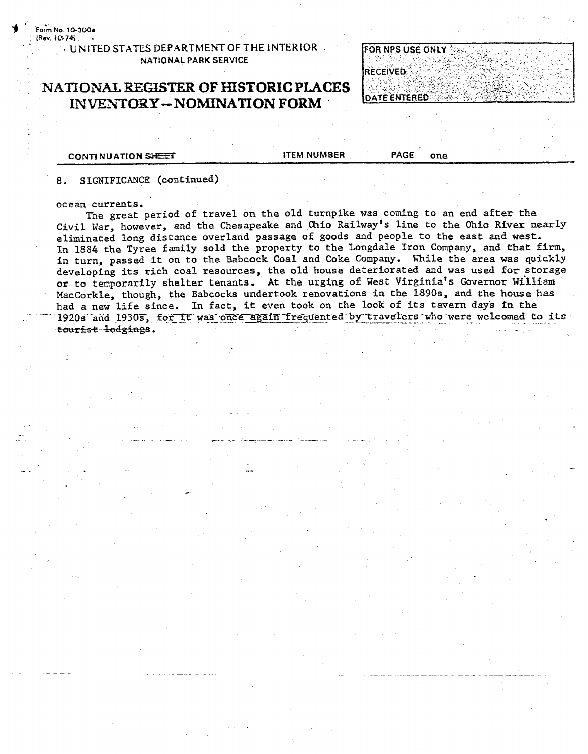Form No. 10-300a (Rev. 10-74) ...

### **UNITED STATES DEPARTMENT OF THE INTERIOR** NATIONAL PARK SERVICE

### NATIONAL REGISTER OF HISTORIC PLACES **INVENTORY-NOMINATION FORM**



**CONTINUATION SHEET** 

**ITEM NUMBER** 

**PAGE** one

#### SIGNIFICANCE (continued) 8.

#### ocean currents.

The great period of travel on the old turnpike was coming to an end after the Civil War, however, and the Chesapeake and Ohio Railway's line to the Ohio River nearly eliminated long distance overland passage of goods and people to the east and west. In 1884 the Tyree family sold the property to the Longdale Iron Company, and that firm, in turn, passed it on to the Babcock Coal and Coke Company. While the area was quickly developing its rich coal resources, the old house deteriorated and was used for storage or to temporarily shelter tenants. At the urging of West Virginia's Governor William MacCorkle, though, the Babcocks undertook renovations in the 1890s, and the house has had a new life since. In fact, it even took on the look of its tavern days in the 1920s and 1930s, for it was once again frequented by travelers who were welcomed to its tourist lodgings.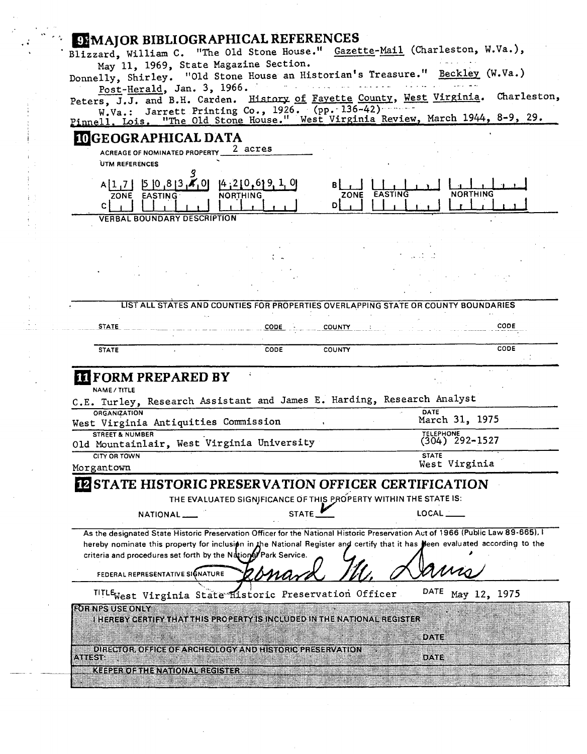| <b>EEMAJOR BIBLIOGRAPHICAL REFERENCES</b><br>Blizzard, William C. "The Old Stone House." Gazette-Mail (Charleston, W.Va.),                                                                                                                                                                                                       |                                 |
|----------------------------------------------------------------------------------------------------------------------------------------------------------------------------------------------------------------------------------------------------------------------------------------------------------------------------------|---------------------------------|
| May 11, 1969, State Magazine Section.<br>Donnelly, Shirley. "Old Stone House an Historian's Treasure." Beckley (W.Va.)                                                                                                                                                                                                           |                                 |
| Post-Herald, Jan. 3, 1966.                                                                                                                                                                                                                                                                                                       |                                 |
| Peters, J.J. and B.H. Carden. History of Fayette County, West Virginia. Charleston,<br>W.Va.: Jarrett Printing Co., 1926. (pp. 136-42)                                                                                                                                                                                           |                                 |
| Pinnell, Lois, "The Old Stone House." West Virginia Review, March 1944, 8-9, 29.                                                                                                                                                                                                                                                 |                                 |
| <b>IDGEOGRAPHICAL DATA</b>                                                                                                                                                                                                                                                                                                       |                                 |
| 2 acres<br>ACREAGE OF NOMINATED PROPERTY<br>UTM REFERENCES                                                                                                                                                                                                                                                                       |                                 |
|                                                                                                                                                                                                                                                                                                                                  |                                 |
| [4, 210, 619, 1, 0]<br>$A[1,7]$ $5[0,8]3$ $A[0]$<br>ZONE EASTING<br><b>NORTHING</b><br>DI<br>C.                                                                                                                                                                                                                                  | <b>NORTHING</b><br>ZONE EASTING |
| <b>VERBAL BOUNDARY DESCRIPTION</b>                                                                                                                                                                                                                                                                                               |                                 |
|                                                                                                                                                                                                                                                                                                                                  |                                 |
|                                                                                                                                                                                                                                                                                                                                  |                                 |
|                                                                                                                                                                                                                                                                                                                                  |                                 |
|                                                                                                                                                                                                                                                                                                                                  |                                 |
| LIST ALL STATES AND COUNTIES FOR PROPERTIES OVERLAPPING STATE OR COUNTY BOUNDARIES                                                                                                                                                                                                                                               |                                 |
| <b>STATE</b><br>CODE<br><b>COUNTY</b>                                                                                                                                                                                                                                                                                            | CODE                            |
|                                                                                                                                                                                                                                                                                                                                  |                                 |
|                                                                                                                                                                                                                                                                                                                                  |                                 |
| <b>STATE</b><br><b>CODE</b><br><b>COUNTY</b>                                                                                                                                                                                                                                                                                     | CODE                            |
|                                                                                                                                                                                                                                                                                                                                  |                                 |
| <b>III</b> FORM PREPARED BY<br><b>NAME/TITLE</b>                                                                                                                                                                                                                                                                                 |                                 |
| C.E. Turley, Research Assistant and James E. Harding, Research Analyst                                                                                                                                                                                                                                                           |                                 |
| <b>ORGANIZATION</b><br>West Virginia Antiquities Commission                                                                                                                                                                                                                                                                      | DATE<br>March 31, 1975          |
| <b>STREET &amp; NUMBER</b>                                                                                                                                                                                                                                                                                                       | TELEPHONE<br>(304) 292-1527     |
| Old Mountainlair, West Virginia University<br><b>CITY OR TOWN</b>                                                                                                                                                                                                                                                                | <b>STATE</b>                    |
| Morgantown                                                                                                                                                                                                                                                                                                                       | West Virginia                   |
| <b>PESTATE HISTORIC PRESERVATION OFFICER CERTIFICATION</b>                                                                                                                                                                                                                                                                       |                                 |
| THE EVALUATED SIGNIFICANCE OF THIS PROPERTY WITHIN THE STATE IS:                                                                                                                                                                                                                                                                 |                                 |
| <b>STATE</b><br>NATIONAL                                                                                                                                                                                                                                                                                                         | LOCAL ___                       |
| As the designated State Historic Preservation Officer for the National Historic Preservation Act of 1966 (Public Law 89-665),<br>hereby nominate this property for inclusion in the National Register and certify that it has seen evaluated according to the<br>criteria and procedures set forth by the National Park Service. |                                 |
| FEDERAL REPRESENTATIVE SIGNATURE                                                                                                                                                                                                                                                                                                 |                                 |
| TITLE <sub>West</sub> Virginia State Historic Preservation Officer                                                                                                                                                                                                                                                               | DATE<br>May 12, 1975            |
| ROIT NPS USE ONLY                                                                                                                                                                                                                                                                                                                |                                 |
| I HEREBY CERTIFY THAT THIS PROPERTY IS INCLUDED IN THE NATIONAL REGISTER                                                                                                                                                                                                                                                         |                                 |
|                                                                                                                                                                                                                                                                                                                                  | DAIR                            |
| DIRECTOR, OFFICE OF ARCHEOLOGY AND HISTORIC PRESERVATION<br><b>ATTEST</b><br><b>KEEPER OF THE NATIONAL REGISTER</b>                                                                                                                                                                                                              | DATE                            |

 $\mathcal{O}(\mathcal{C})$ 

 $\frac{1}{2}$ 

 $\hat{\mathcal{L}}_{\text{max}}$ 

 $\frac{1}{2}$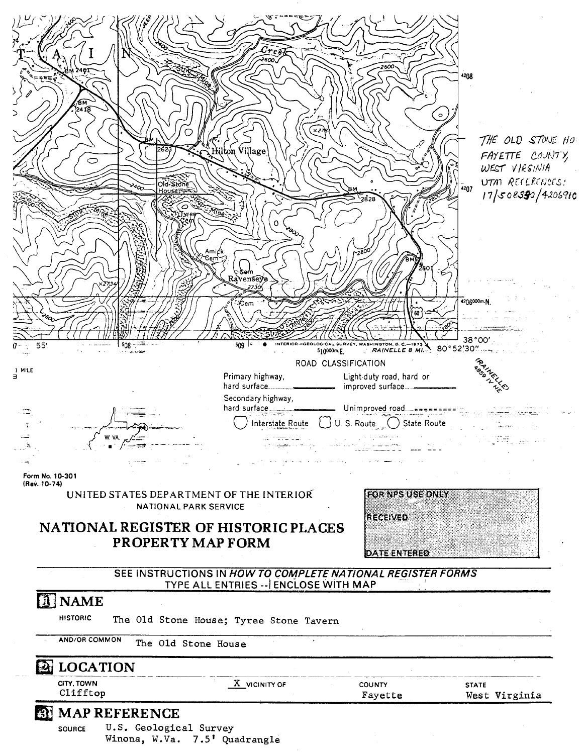

**Winona, W.Va. 7.5' Quadrangle**